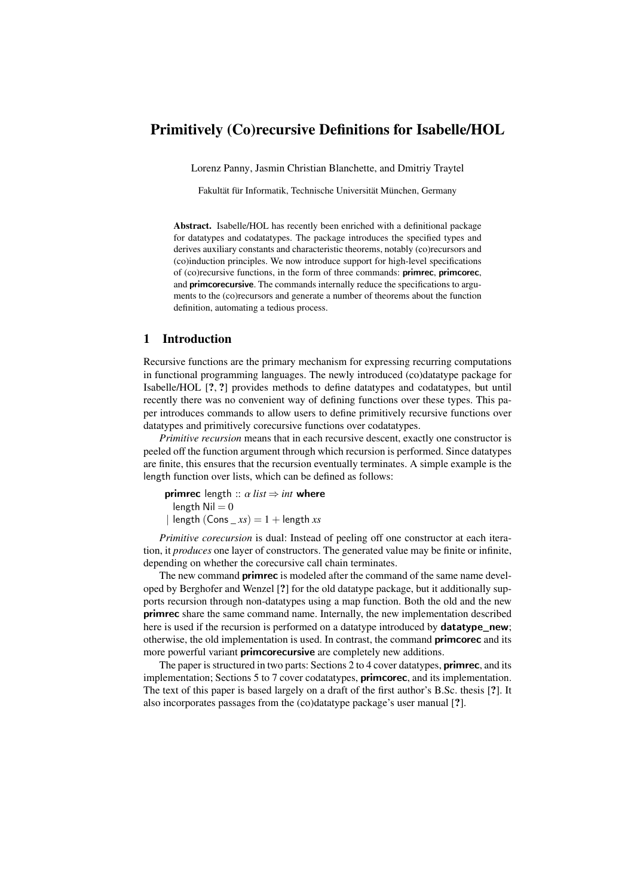# Primitively (Co)recursive Definitions for Isabelle/HOL

Lorenz Panny, Jasmin Christian Blanchette, and Dmitriy Traytel

Fakultät für Informatik, Technische Universität München, Germany

Abstract. Isabelle/HOL has recently been enriched with a definitional package for datatypes and codatatypes. The package introduces the specified types and derives auxiliary constants and characteristic theorems, notably (co)recursors and (co)induction principles. We now introduce support for high-level specifications of (co)recursive functions, in the form of three commands: primrec, primcorec, and primcorecursive. The commands internally reduce the specifications to arguments to the (co)recursors and generate a number of theorems about the function definition, automating a tedious process.

## 1 Introduction

Recursive functions are the primary mechanism for expressing recurring computations in functional programming languages. The newly introduced (co)datatype package for Isabelle/HOL [?, ?] provides methods to define datatypes and codatatypes, but until recently there was no convenient way of defining functions over these types. This paper introduces commands to allow users to define primitively recursive functions over datatypes and primitively corecursive functions over codatatypes.

*Primitive recursion* means that in each recursive descent, exactly one constructor is peeled off the function argument through which recursion is performed. Since datatypes are finite, this ensures that the recursion eventually terminates. A simple example is the length function over lists, which can be defined as follows:

**primrec** length ::  $\alpha$  *list*  $\Rightarrow$  *int* where length  $Nil = 0$  $\ln \left( \frac{\text{Const}}{\text{const}} \right) = 1 + \ln \left( \frac{\text{const}}{\text{const}} \right)$ 

*Primitive corecursion* is dual: Instead of peeling off one constructor at each iteration, it *produces* one layer of constructors. The generated value may be finite or infinite, depending on whether the corecursive call chain terminates.

The new command **primrec** is modeled after the command of the same name developed by Berghofer and Wenzel [?] for the old datatype package, but it additionally supports recursion through non-datatypes using a map function. Both the old and the new primrec share the same command name. Internally, the new implementation described here is used if the recursion is performed on a datatype introduced by **datatype** new; otherwise, the old implementation is used. In contrast, the command primcorec and its more powerful variant **primcorecursive** are completely new additions.

The paper is structured in two parts: Sections [2](#page-1-0) to [4](#page-5-0) cover datatypes, **primrec**, and its implementation; Sections [5](#page-8-0) to [7](#page-13-0) cover codatatypes, **primcorec**, and its implementation. The text of this paper is based largely on a draft of the first author's B.Sc. thesis [?]. It also incorporates passages from the (co)datatype package's user manual [?].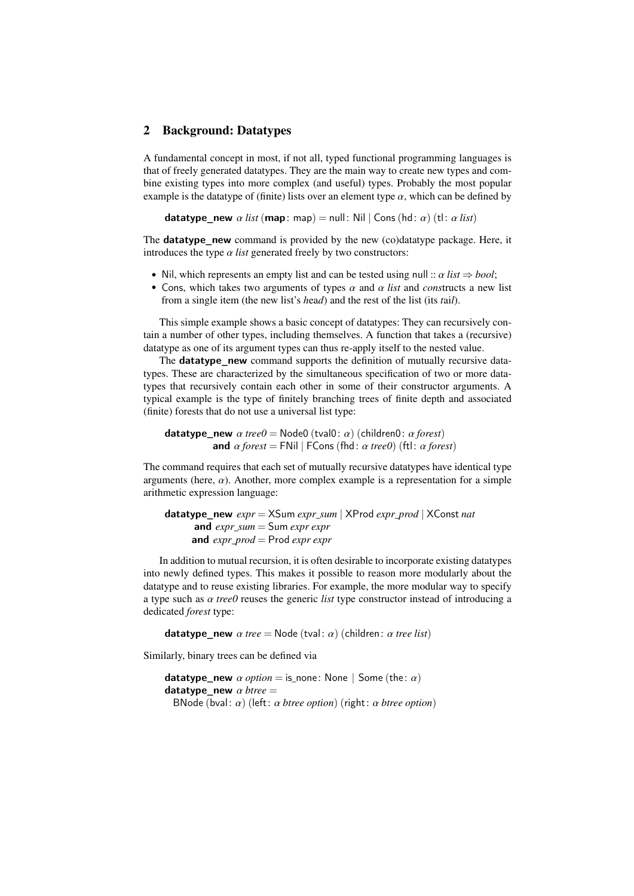# <span id="page-1-0"></span>2 Background: Datatypes

A fundamental concept in most, if not all, typed functional programming languages is that of freely generated datatypes. They are the main way to create new types and combine existing types into more complex (and useful) types. Probably the most popular example is the datatype of (finite) lists over an element type  $\alpha$ , which can be defined by

**datatype** new  $\alpha$  *list* (map: map) = null: Nil | Cons (hd:  $\alpha$ ) (tl:  $\alpha$  *list*)

The **datatype** new command is provided by the new (co)datatype package. Here, it introduces the type  $\alpha$  *list* generated freely by two constructors:

- Nil, which represents an empty list and can be tested using null ::  $\alpha$  *list*  $\Rightarrow$  *bool*;
- Cons, which takes two arguments of types  $\alpha$  and  $\alpha$  *list* and *constructs* a new list from a single item (the new list's *h*ea*d*) and the rest of the list (its *t*ai*l*).

This simple example shows a basic concept of datatypes: They can recursively contain a number of other types, including themselves. A function that takes a (recursive) datatype as one of its argument types can thus re-apply itself to the nested value.

The **datatype\_new** command supports the definition of mutually recursive datatypes. These are characterized by the simultaneous specification of two or more datatypes that recursively contain each other in some of their constructor arguments. A typical example is the type of finitely branching trees of finite depth and associated (finite) forests that do not use a universal list type:

**datatype** new  $\alpha$  *tree0* = Node0 (tval0:  $\alpha$ ) (children0:  $\alpha$  *forest*) and  $\alpha$  *forest* = FNil | FCons (fhd:  $\alpha$  *tree0*) (ftl:  $\alpha$  *forest*)

The command requires that each set of mutually recursive datatypes have identical type arguments (here,  $\alpha$ ). Another, more complex example is a representation for a simple arithmetic expression language:

```
datatype_new expr = XSum expr_sum | XProd expr_prod | XConst nat
      and expr_sum = Sum expr expr
     and expr_prod = Prod expr expr
```
In addition to mutual recursion, it is often desirable to incorporate existing datatypes into newly defined types. This makes it possible to reason more modularly about the datatype and to reuse existing libraries. For example, the more modular way to specify a type such as α *tree0* reuses the generic *list* type constructor instead of introducing a dedicated *forest* type:

datatype\_new  $\alpha$  *tree* = Node (tval:  $\alpha$ ) (children:  $\alpha$  *tree list*)

Similarly, binary trees can be defined via

**datatype\_new**  $\alpha$  *option* = is\_none: None | Some (the:  $\alpha$ ) datatype\_new α *btree* <sup>=</sup> BNode (bval: α) (left: α *btree option*) (right: α *btree option*)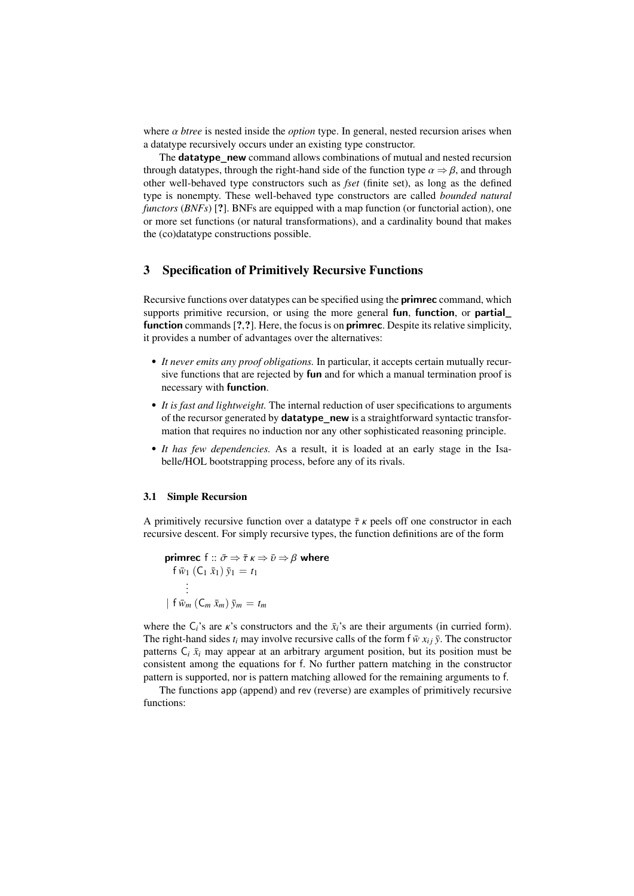where  $\alpha$  *btree* is nested inside the *option* type. In general, nested recursion arises when a datatype recursively occurs under an existing type constructor.

The datatype\_new command allows combinations of mutual and nested recursion through datatypes, through the right-hand side of the function type  $\alpha \Rightarrow \beta$ , and through other well-behaved type constructors such as *fset* (finite set), as long as the defined type is nonempty. These well-behaved type constructors are called *bounded natural functors* (*BNFs*) [?]. BNFs are equipped with a map function (or functorial action), one or more set functions (or natural transformations), and a cardinality bound that makes the (co)datatype constructions possible.

## 3 Specification of Primitively Recursive Functions

Recursive functions over datatypes can be specified using the **primrec** command, which supports primitive recursion, or using the more general fun, function, or partial function commands [?,?]. Here, the focus is on **primrec**. Despite its relative simplicity, it provides a number of advantages over the alternatives:

- *It never emits any proof obligations.* In particular, it accepts certain mutually recursive functions that are rejected by fun and for which a manual termination proof is necessary with function.
- *It is fast and lightweight.* The internal reduction of user specifications to arguments of the recursor generated by **datatype\_new** is a straightforward syntactic transformation that requires no induction nor any other sophisticated reasoning principle.
- *It has few dependencies.* As a result, it is loaded at an early stage in the Isabelle/HOL bootstrapping process, before any of its rivals.

## 3.1 Simple Recursion

A primitively recursive function over a datatype  $\bar{\tau}$  *κ* peels off one constructor in each recursive descent. For simply recursive types, the function definitions are of the form

**primec** 
$$
f :: \bar{\sigma} \Rightarrow \bar{\tau} \kappa \Rightarrow \bar{\upsilon} \Rightarrow \beta
$$
 where  
\n $f \bar{w}_1 (C_1 \bar{x}_1) \bar{y}_1 = t_1$   
\n $\vdots$   
\n $| f \bar{w}_m (C_m \bar{x}_m) \bar{y}_m = t_m$ 

where the  $C_i$ 's are  $\kappa$ 's constructors and the  $\bar{x}_i$ 's are their arguments (in curried form). The right-hand sides  $t_i$  may involve recursive calls of the form  $f \overline{w} x_{i i} \overline{y}$ . The constructor patterns  $C_i$   $\bar{x}_i$  may appear at an arbitrary argument position, but its position must be consistent among the equations for f. No further pattern matching in the constructor pattern is supported, nor is pattern matching allowed for the remaining arguments to f.

The functions app (append) and rev (reverse) are examples of primitively recursive functions: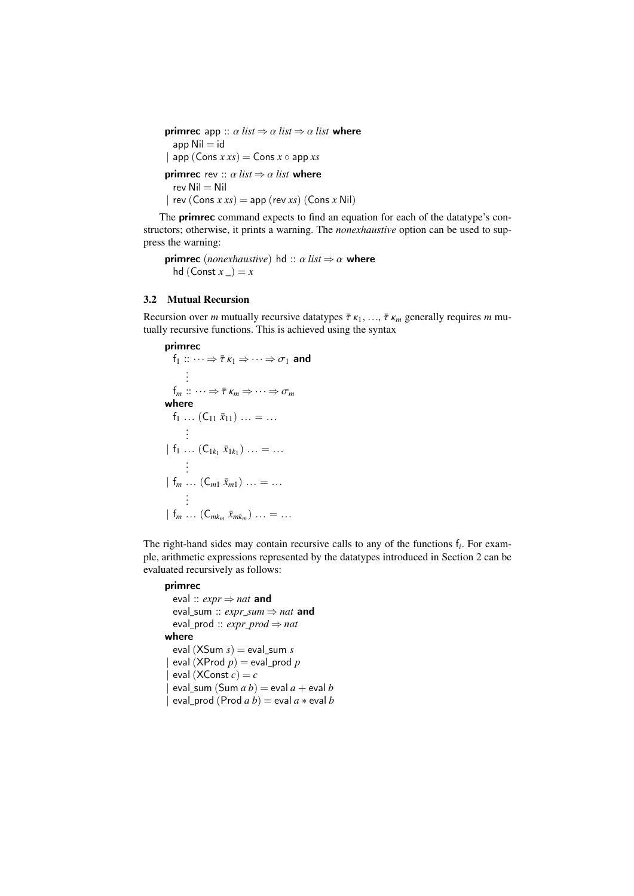**primrec** app ::  $\alpha$  *list*  $\Rightarrow$   $\alpha$  *list*  $\Rightarrow$   $\alpha$  *list* where  $app$  Nil  $=$  id  $|$  app  $(Cons x x s) = Cons x \circ app x s$ **primrec** rev ::  $\alpha$  *list*  $\Rightarrow$   $\alpha$  *list* where  $rev$  Nil = Nil  $\vert$  rev (Cons  $x xs) =$  app (rev  $xs$ ) (Cons  $x$  Nil)

The primrec command expects to find an equation for each of the datatype's constructors; otherwise, it prints a warning. The *nonexhaustive* option can be used to suppress the warning:

**primrec** (*nonexhaustive*) hd ::  $\alpha$  *list*  $\Rightarrow \alpha$  where hd  $(Const x_ ) = x$ 

# 3.2 Mutual Recursion

Recursion over *m* mutually recursive datatypes  $\bar{\tau}$  κ<sub>1</sub>, ...,  $\bar{\tau}$  κ<sub>m</sub> generally requires *m* mutually recursive functions. This is achieved using the syntax

```
primrec
   f_1 :: \cdots \Rightarrow \overline{\tau} \kappa_1 \Rightarrow \cdots \Rightarrow \sigma_1 and
          .
          .
          .
   f_m :: \cdots \Rightarrow \overline{\tau} \kappa_m \Rightarrow \cdots \Rightarrow \sigma_mwhere
   f_1 ... (C_{11} \bar{x}_{11}) ... = ...
          .
          .
          .
 | f_1 ... (C_{1k_1} \bar{x}_{1k_1}) ... = ....
          .
          .
 | f_m ... (C_{m1} \bar{x}_{m1}) ... = ....
          .
          .
 | f_m ... (C_{mk_m} \bar{x}_{mk_m}) ... = ...
```
The right-hand sides may contain recursive calls to any of the functions f*<sup>i</sup>* . For example, arithmetic expressions represented by the datatypes introduced in Section [2](#page-1-0) can be evaluated recursively as follows:

# primrec

```
eval :: expr ⇒ nat and
  eval_sum :: expr\_sum \Rightarrow nat and
  eval_prod :: expr_prod ⇒ nat
where
  eval (XSum s) = eval sum s| \operatorname{eval}(X\text{Prod } p) = \text{eval } \text{prod } p\text{eval}(\text{XConst } c) = c|eval sum (Sum a b) = eval a + eval b|eval_prod (Prod a b) = eval a * eval b
```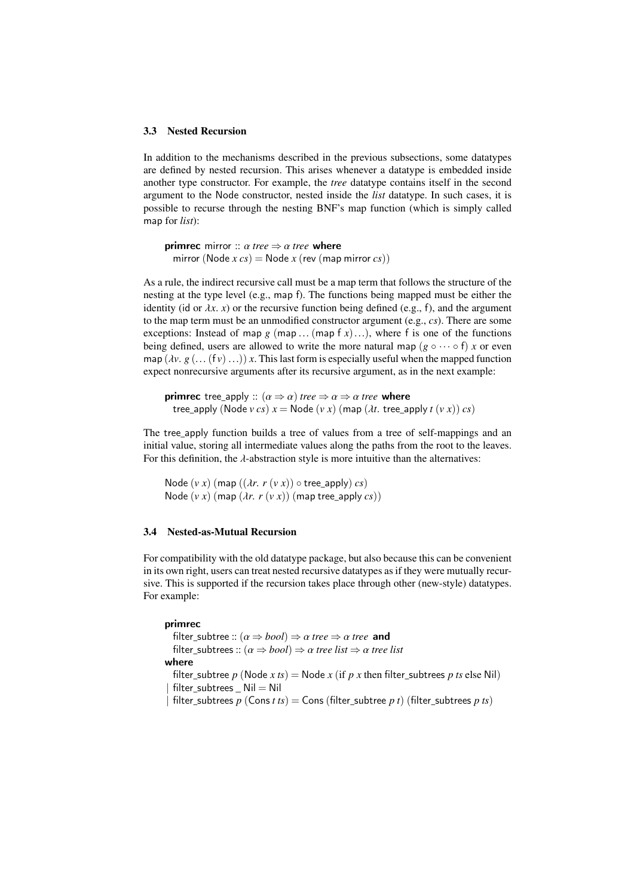#### 3.3 Nested Recursion

In addition to the mechanisms described in the previous subsections, some datatypes are defined by nested recursion. This arises whenever a datatype is embedded inside another type constructor. For example, the *tree* datatype contains itself in the second argument to the Node constructor, nested inside the *list* datatype. In such cases, it is possible to recurse through the nesting BNF's map function (which is simply called map for *list*):

**primrec** mirror ::  $\alpha$  *tree*  $\Rightarrow$   $\alpha$  *tree* where mirror (Node  $x cs$ ) = Node  $x$  (rev (map mirror  $cs$ ))

As a rule, the indirect recursive call must be a map term that follows the structure of the nesting at the type level (e.g., map f). The functions being mapped must be either the identity (id or  $\lambda x$ . *x*) or the recursive function being defined (e.g., f), and the argument to the map term must be an unmodified constructor argument (e.g., *cs*). There are some exceptions: Instead of map  $g$  (map ... (map  $f(x)$ )...), where f is one of the functions being defined, users are allowed to write the more natural map ( $g \circ \cdots \circ f$ ) *x* or even map  $(\lambda v, g (... (f v) ...)) x$ . This last form is especially useful when the mapped function expect nonrecursive arguments after its recursive argument, as in the next example:

**primrec** tree\_apply ::  $(\alpha \Rightarrow \alpha)$  *tree*  $\Rightarrow \alpha \Rightarrow \alpha$  *tree* where tree\_apply (Node  $v cs$ )  $x =$  Node  $(v x)$  (map  $(\lambda t$ . tree\_apply  $t (v x)$ )  $cs$ )

The tree apply function builds a tree of values from a tree of self-mappings and an initial value, storing all intermediate values along the paths from the root to the leaves. For this definition, the  $\lambda$ -abstraction style is more intuitive than the alternatives:

```
Node (v x) (map ((\lambda r. r (v x)) \circ tree_apply) cs)
Node (v x) (map (\lambda r. r (v x)) (map tree_apply cs))
```
# 3.4 Nested-as-Mutual Recursion

For compatibility with the old datatype package, but also because this can be convenient in its own right, users can treat nested recursive datatypes as if they were mutually recursive. This is supported if the recursion takes place through other (new-style) datatypes. For example:

## primrec

filter\_subtree ::  $(\alpha \Rightarrow bool) \Rightarrow \alpha$  *tree*  $\Rightarrow \alpha$  *tree* and filter subtrees ::  $(\alpha \Rightarrow bool) \Rightarrow \alpha$  *tree list*  $\Rightarrow \alpha$  *tree list* where filter subtree *p* (Node *x ts*) = Node *x* (if *p x* then filter subtrees *p ts* else Nil)  $filter$  subtrees  $Nil = Nil$ | filter\_subtrees  $p$  (Cons  $t$   $ts$ ) = Cons (filter\_subtree  $p$   $t$ ) (filter\_subtrees  $p$   $ts$ )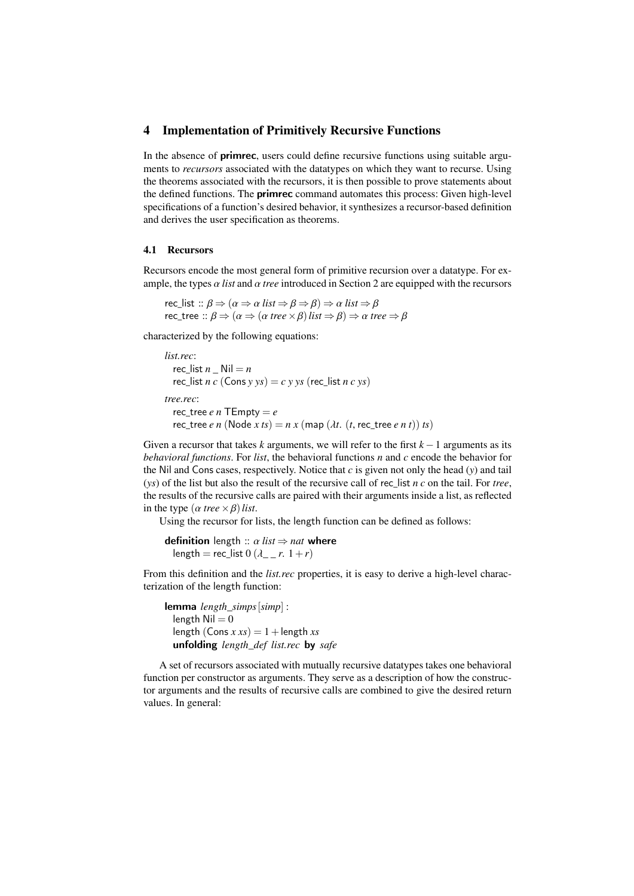## <span id="page-5-0"></span>4 Implementation of Primitively Recursive Functions

In the absence of primrec, users could define recursive functions using suitable arguments to *recursors* associated with the datatypes on which they want to recurse. Using the theorems associated with the recursors, it is then possible to prove statements about the defined functions. The **primrec** command automates this process: Given high-level specifications of a function's desired behavior, it synthesizes a recursor-based definition and derives the user specification as theorems.

## 4.1 Recursors

Recursors encode the most general form of primitive recursion over a datatype. For example, the types  $\alpha$  *list* and  $\alpha$  *tree* introduced in Section [2](#page-1-0) are equipped with the recursors

rec\_list ::  $\beta \Rightarrow (\alpha \Rightarrow \alpha \text{ list } \Rightarrow \beta \Rightarrow \beta) \Rightarrow \alpha \text{ list } \Rightarrow \beta$ rec tree ::  $\beta \Rightarrow (\alpha \Rightarrow (\alpha \text{ tree} \times \beta) \text{ list } \Rightarrow \beta) \Rightarrow \alpha \text{ tree } \Rightarrow \beta$ 

characterized by the following equations:

*list.rec*: rec list  $n$   $\text{Nil} = n$  $rec\_list n c (Cons y ys) = c y ys (rec\_list n c ys)$ *tree.rec*: rec\_tree  $e n$  TEmpty =  $e$ rec tree *e n* (Node *x ts*) =  $n x$  (map ( $\lambda t$ . (*t*, rec tree *e n t*)) *ts*)

Given a recursor that takes  $k$  arguments, we will refer to the first  $k-1$  arguments as its *behavioral functions*. For *list*, the behavioral functions *n* and *c* encode the behavior for the Nil and Cons cases, respectively. Notice that *c* is given not only the head (*y*) and tail (*ys*) of the list but also the result of the recursive call of rec\_list *n c* on the tail. For *tree*, the results of the recursive calls are paired with their arguments inside a list, as reflected in the type  $(\alpha \text{ tree} \times \beta)$ *list.* 

Using the recursor for lists, the length function can be defined as follows:

**definition** length ::  $\alpha$  *list*  $\Rightarrow$  *nat* where length = rec\_list 0  $(\lambda$  *r.* 1+*r*)

From this definition and the *list.rec* properties, it is easy to derive a high-level characterization of the length function:

```
lemma length_simps[simp] :
 length Nil = 0length (Cons x xs) = 1 + length xsunfolding length_def list.rec by safe
```
A set of recursors associated with mutually recursive datatypes takes one behavioral function per constructor as arguments. They serve as a description of how the constructor arguments and the results of recursive calls are combined to give the desired return values. In general: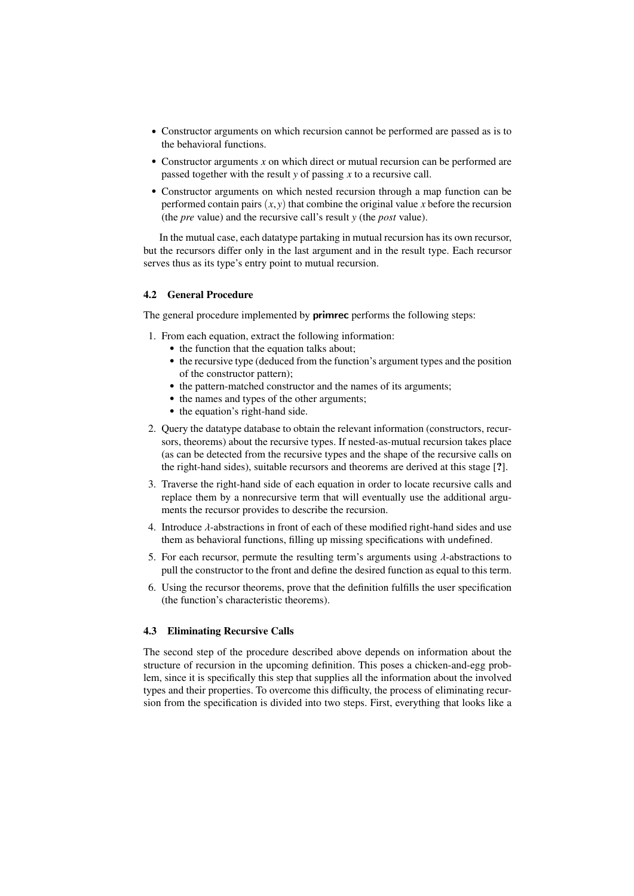- Constructor arguments on which recursion cannot be performed are passed as is to the behavioral functions.
- Constructor arguments *x* on which direct or mutual recursion can be performed are passed together with the result *y* of passing *x* to a recursive call.
- Constructor arguments on which nested recursion through a map function can be performed contain pairs  $(x, y)$  that combine the original value x before the recursion (the *pre* value) and the recursive call's result *y* (the *post* value).

In the mutual case, each datatype partaking in mutual recursion has its own recursor, but the recursors differ only in the last argument and in the result type. Each recursor serves thus as its type's entry point to mutual recursion.

# 4.2 General Procedure

The general procedure implemented by **primrec** performs the following steps:

- 1. From each equation, extract the following information:
	- the function that the equation talks about;
	- the recursive type (deduced from the function's argument types and the position of the constructor pattern);
	- the pattern-matched constructor and the names of its arguments;
	- the names and types of the other arguments;
	- the equation's right-hand side.
- 2. Query the datatype database to obtain the relevant information (constructors, recursors, theorems) about the recursive types. If nested-as-mutual recursion takes place (as can be detected from the recursive types and the shape of the recursive calls on the right-hand sides), suitable recursors and theorems are derived at this stage [?].
- 3. Traverse the right-hand side of each equation in order to locate recursive calls and replace them by a nonrecursive term that will eventually use the additional arguments the recursor provides to describe the recursion.
- 4. Introduce  $\lambda$ -abstractions in front of each of these modified right-hand sides and use them as behavioral functions, filling up missing specifications with undefined.
- 5. For each recursor, permute the resulting term's arguments using  $\lambda$ -abstractions to pull the constructor to the front and define the desired function as equal to this term.
- 6. Using the recursor theorems, prove that the definition fulfills the user specification (the function's characteristic theorems).

## 4.3 Eliminating Recursive Calls

The second step of the procedure described above depends on information about the structure of recursion in the upcoming definition. This poses a chicken-and-egg problem, since it is specifically this step that supplies all the information about the involved types and their properties. To overcome this difficulty, the process of eliminating recursion from the specification is divided into two steps. First, everything that looks like a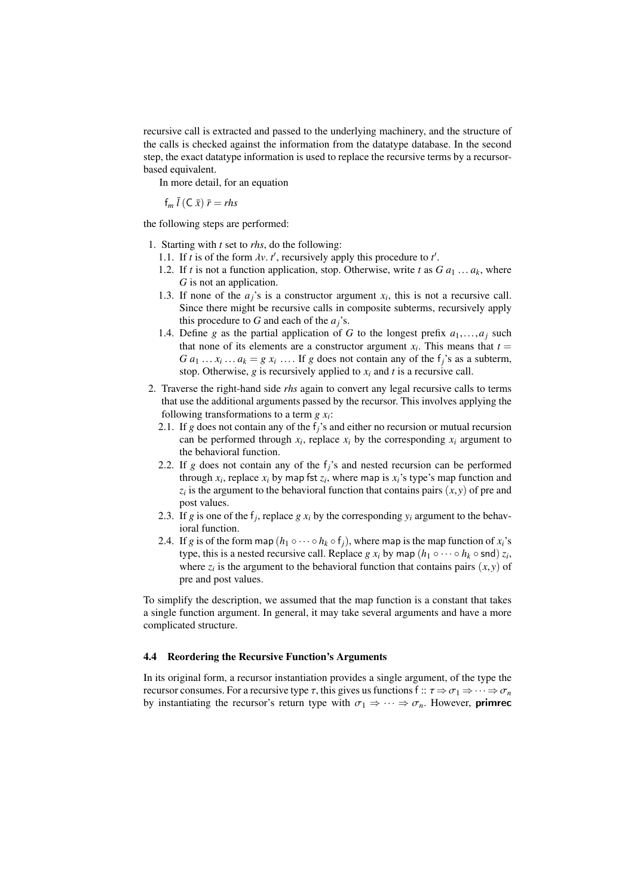recursive call is extracted and passed to the underlying machinery, and the structure of the calls is checked against the information from the datatype database. In the second step, the exact datatype information is used to replace the recursive terms by a recursorbased equivalent.

In more detail, for an equation

$$
f_m \bar{l}(C \bar{x}) \bar{r} = rhs
$$

the following steps are performed:

- 1. Starting with *t* set to *rhs*, do the following:
	- 1.1. If *t* is of the form  $\lambda v$ , *t'*, recursively apply this procedure to *t'*.<br>1.2. If *t* is not a function application, stop, Otherwise, write *t* as *C*
	- 1.2. If *t* is not a function application, stop. Otherwise, write *t* as  $G a_1 \ldots a_k$ , where *G* is not an application.
	- 1.3. If none of the  $a_j$ 's is a constructor argument  $x_i$ , this is not a recursive call. Since there might be recursive calls in composite subterms, recursively apply this procedure to *G* and each of the *aj*'s.
	- 1.4. Define *g* as the partial application of *G* to the longest prefix  $a_1, \ldots, a_j$  such that none of its elements are a constructor argument  $x_i$ . This means that  $t =$  $G a_1 \dots x_i \dots a_k = g x_i \dots$  If *g* does not contain any of the f<sub>*j*</sub>'s as a subterm, stop. Otherwise *g* is recursively applied to *x* and *t* is a recursive call stop. Otherwise,  $g$  is recursively applied to  $x_i$  and  $t$  is a recursive call.
- 2. Traverse the right-hand side *rhs* again to convert any legal recursive calls to terms that use the additional arguments passed by the recursor. This involves applying the following transformations to a term *g x<sup>i</sup>* :
	- 2.1. If *g* does not contain any of the f*j*'s and either no recursion or mutual recursion can be performed through  $x_i$ , replace  $x_i$  by the corresponding  $x_i$  argument to the behavioral function.
	- 2.2. If *g* does not contain any of the f*j*'s and nested recursion can be performed through  $x_i$ , replace  $x_i$  by map fst  $z_i$ , where map is  $x_i$ 's type's map function and  $z_i$  is the argument to the behavioral function that contains pairs  $(x, y)$  of pre and post values post values.
	- 2.3. If *g* is one of the  $f_j$ , replace *g*  $x_i$  by the corresponding  $y_i$  argument to the behavioral function.
	- 2.4. If *g* is of the form map  $(h_1 \circ \cdots \circ h_k \circ f_j)$ , where map is the map function of  $x_i$ 's type, this is a nested recursive call. Replace  $g x_i$  by map  $(h_1 \circ \cdots \circ h_k \circ \mathsf{snd}) z_i$ , where  $z_i$  is the argument to the behavioral function that contains pairs  $(x, y)$  of pre and post values pre and post values.

To simplify the description, we assumed that the map function is a constant that takes a single function argument. In general, it may take several arguments and have a more complicated structure.

# 4.4 Reordering the Recursive Function's Arguments

In its original form, a recursor instantiation provides a single argument, of the type the recursor consumes. For a recursive type  $\tau$ , this gives us functions f  $:: \tau \Rightarrow \sigma_1 \Rightarrow \cdots \Rightarrow \sigma_n$ by instantiating the recursor's return type with  $\sigma_1 \Rightarrow \cdots \Rightarrow \sigma_n$ . However, **primrec**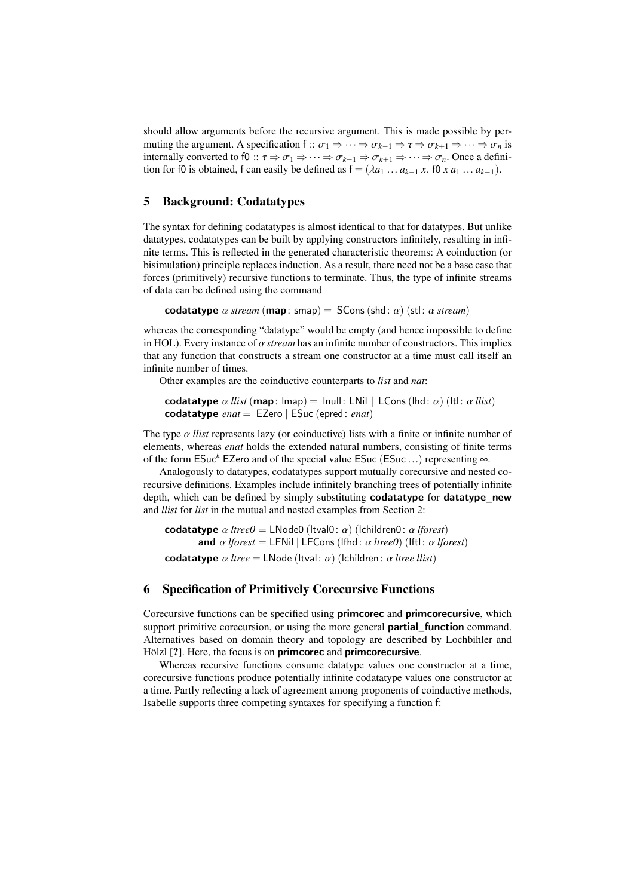should allow arguments before the recursive argument. This is made possible by permuting the argument. A specification f ::  $\sigma_1 \Rightarrow \cdots \Rightarrow \sigma_{k-1} \Rightarrow \tau \Rightarrow \sigma_{k+1} \Rightarrow \cdots \Rightarrow \sigma_n$  is internally converted to f0 ::  $\tau \Rightarrow \sigma_1 \Rightarrow \cdots \Rightarrow \sigma_{k-1} \Rightarrow \sigma_{k+1} \Rightarrow \cdots \Rightarrow \sigma_n$ . Once a definition for f0 is obtained, f can easily be defined as  $f = (\lambda a_1 \dots a_{k-1} x, f_0 x a_1 \dots a_{k-1})$ .

# <span id="page-8-0"></span>5 Background: Codatatypes

The syntax for defining codatatypes is almost identical to that for datatypes. But unlike datatypes, codatatypes can be built by applying constructors infinitely, resulting in infinite terms. This is reflected in the generated characteristic theorems: A coinduction (or bisimulation) principle replaces induction. As a result, there need not be a base case that forces (primitively) recursive functions to terminate. Thus, the type of infinite streams of data can be defined using the command

codatatype  $\alpha$  *stream* (map: smap) = SCons (shd:  $\alpha$ ) (stl:  $\alpha$  *stream*)

whereas the corresponding "datatype" would be empty (and hence impossible to define in HOL). Every instance of  $\alpha$  *stream* has an infinite number of constructors. This implies that any function that constructs a stream one constructor at a time must call itself an infinite number of times.

Other examples are the coinductive counterparts to *list* and *nat*:

codatatype  $\alpha$  *llist* (map: lmap) = lnull: LNil | LCons (lhd:  $\alpha$ ) (ltl:  $\alpha$  *llist*) codatatype *enat* = EZero | ESuc (epred: *enat*)

The type α *llist* represents lazy (or coinductive) lists with a finite or infinite number of elements, whereas *enat* holds the extended natural numbers, consisting of finite terms of the form ESuc*<sup>k</sup>* EZero and of the special value ESuc (ESuc ...) representing <sup>∞</sup>.

Analogously to datatypes, codatatypes support mutually corecursive and nested corecursive definitions. Examples include infinitely branching trees of potentially infinite depth, which can be defined by simply substituting **codatatype** for **datatype** new and *llist* for *list* in the mutual and nested examples from Section [2:](#page-1-0)

codatatype α *ltree0* <sup>=</sup> LNode0 (ltval0: α) (lchildren0: α *lforest*) and  $\alpha$  *lforest* = LFNil | LFCons (lfhd:  $\alpha$  *ltree0*) (lftl:  $\alpha$  *lforest*) codatatype α *ltree* <sup>=</sup> LNode (ltval: α) (lchildren: α *ltree llist*)

# 6 Specification of Primitively Corecursive Functions

Corecursive functions can be specified using **primcorec** and **primcorecursive**, which support primitive corecursion, or using the more general **partial function** command. Alternatives based on domain theory and topology are described by Lochbihler and Hölzl [?]. Here, the focus is on **primcorec** and **primcorecursive**.

Whereas recursive functions consume datatype values one constructor at a time, corecursive functions produce potentially infinite codatatype values one constructor at a time. Partly reflecting a lack of agreement among proponents of coinductive methods, Isabelle supports three competing syntaxes for specifying a function f: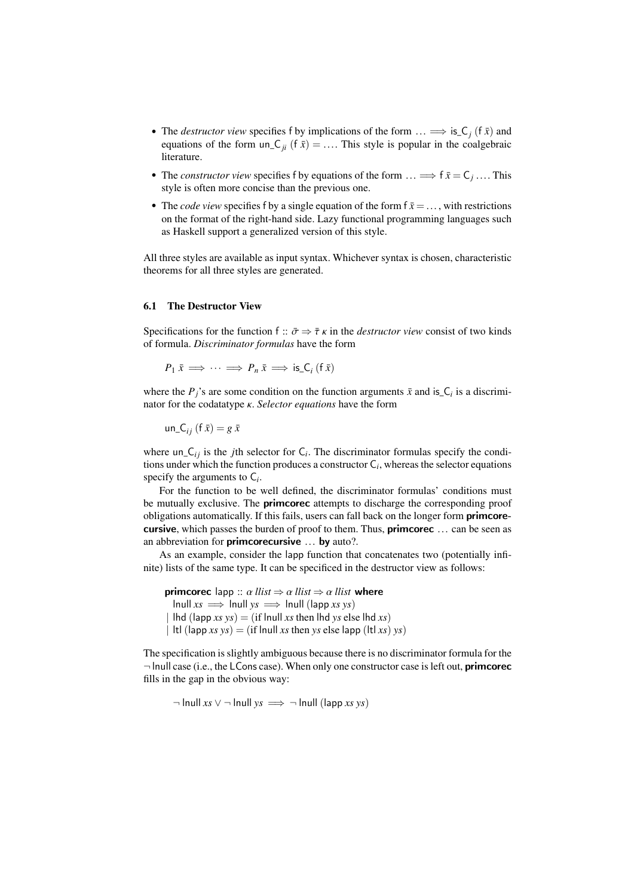- The *destructor view* specifies f by implications of the form  $\ldots \Longrightarrow$  is  $C_j$  (f  $\bar{x}$ ) and equations of the form un  $C_j$  (f  $\bar{x}$ ) This style is popular in the coalgebraic equations of the form  $un_{\mathcal{L}_{ii}} (f \bar{x}) = ...$  This style is popular in the coalgebraic literature.
- The *constructor view* specifies f by equations of the form  $\dots \Longrightarrow f\bar{x} = C_j \dots$ . This style is often more concise than the previous one style is often more concise than the previous one.
- The *code view* specifies f by a single equation of the form  $f \bar{x} = ...$ , with restrictions on the format of the right-hand side. Lazy functional programming languages such as Haskell support a generalized version of this style.

All three styles are available as input syntax. Whichever syntax is chosen, characteristic theorems for all three styles are generated.

#### 6.1 The Destructor View

Specifications for the function f ::  $\bar{\sigma} \Rightarrow \bar{\tau} \kappa$  in the *destructor view* consist of two kinds of formula. *Discriminator formulas* have the form

$$
P_1 \bar{x} \implies \cdots \implies P_n \bar{x} \implies \text{is\_C}_i \, (\text{f} \, \bar{x})
$$

where the  $P_j$ 's are some condition on the function arguments  $\bar{x}$  and is  $C_i$  is a discriminator for the codatatype κ. *Selector equations* have the form

un
$$
un_{j}(f\,\bar{x})=g\,\bar{x}
$$

where  $un_{i}C_{ij}$  is the *j*th selector for  $C_i$ . The discriminator formulas specify the conditions under which the function produces a constructor C*<sup>i</sup>* , whereas the selector equations specify the arguments to  $C_i$ .

For the function to be well defined, the discriminator formulas' conditions must be mutually exclusive. The **primcorec** attempts to discharge the corresponding proof obligations automatically. If this fails, users can fall back on the longer form **primcore**cursive, which passes the burden of proof to them. Thus, primcorec ... can be seen as an abbreviation for **primcorecursive** ... by auto?.

As an example, consider the lapp function that concatenates two (potentially infinite) lists of the same type. It can be specificed in the destructor view as follows:

**primcorec** lapp ::  $\alpha$  *llist*  $\Rightarrow \alpha$  *llist*  $\Rightarrow \alpha$  *llist* where  $lnull xs \implies Inull ys \implies Inull (lapp xs ys)$  $\text{d}$  (lapp *xs ys*) = (if lnull *xs* then lhd *ys* else lhd *xs*) | ltl (lapp *xs*  $ys$ ) = (if lnull *xs* then *ys* else lapp (ltl *xs*)  $ys$ )

The specification is slightly ambiguous because there is no discriminator formula for the  $\neg$  lnull case (i.e., the LCons case). When only one constructor case is left out, **primcorec** fills in the gap in the obvious way:

 $\neg$  lnull *xs*  $\vee \neg$  lnull *ys*  $\implies \neg$  lnull (lapp *xs ys*)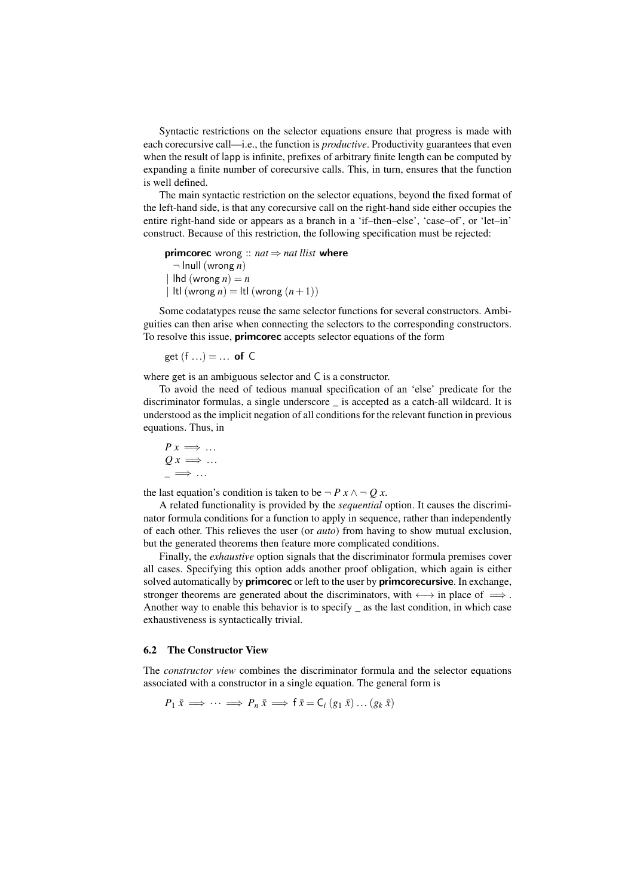Syntactic restrictions on the selector equations ensure that progress is made with each corecursive call—i.e., the function is *productive*. Productivity guarantees that even when the result of lapp is infinite, prefixes of arbitrary finite length can be computed by expanding a finite number of corecursive calls. This, in turn, ensures that the function is well defined.

The main syntactic restriction on the selector equations, beyond the fixed format of the left-hand side, is that any corecursive call on the right-hand side either occupies the entire right-hand side or appears as a branch in a 'if–then–else', 'case–of', or 'let–in' construct. Because of this restriction, the following specification must be rejected:

primcorec wrong :: *nat* ⇒ *nat llist* where ¬ lnull (wrong *n*) |  $\ln d$  (wrong  $n = n$ | ltl (wrong  $n$ ) = ltl (wrong  $(n+1)$ )

Some codatatypes reuse the same selector functions for several constructors. Ambiguities can then arise when connecting the selectors to the corresponding constructors. To resolve this issue, **primcorec** accepts selector equations of the form

get 
$$
(f \ldots) = \ldots
$$
 of C

where get is an ambiguous selector and C is a constructor.

To avoid the need of tedious manual specification of an 'else' predicate for the discriminator formulas, a single underscore \_ is accepted as a catch-all wildcard. It is understood as the implicit negation of all conditions for the relevant function in previous equations. Thus, in

$$
P x \Longrightarrow \dots
$$
  

$$
Q x \Longrightarrow \dots
$$
  

$$
\longrightarrow \dots
$$

the last equation's condition is taken to be  $\neg P x \land \neg Q x$ .

A related functionality is provided by the *sequential* option. It causes the discriminator formula conditions for a function to apply in sequence, rather than independently of each other. This relieves the user (or *auto*) from having to show mutual exclusion, but the generated theorems then feature more complicated conditions.

Finally, the *exhaustive* option signals that the discriminator formula premises cover all cases. Specifying this option adds another proof obligation, which again is either solved automatically by **primcorec** or left to the user by **primcorecursive**. In exchange, stronger theorems are generated about the discriminators, with  $\longleftrightarrow$  in place of  $\implies$ . Another way to enable this behavior is to specify \_ as the last condition, in which case exhaustiveness is syntactically trivial.

## 6.2 The Constructor View

The *constructor view* combines the discriminator formula and the selector equations associated with a constructor in a single equation. The general form is

 $P_1 \overline{x} \implies \cdots \implies P_n \overline{x} \implies f \overline{x} = C_i (g_1 \overline{x}) \dots (g_k \overline{x})$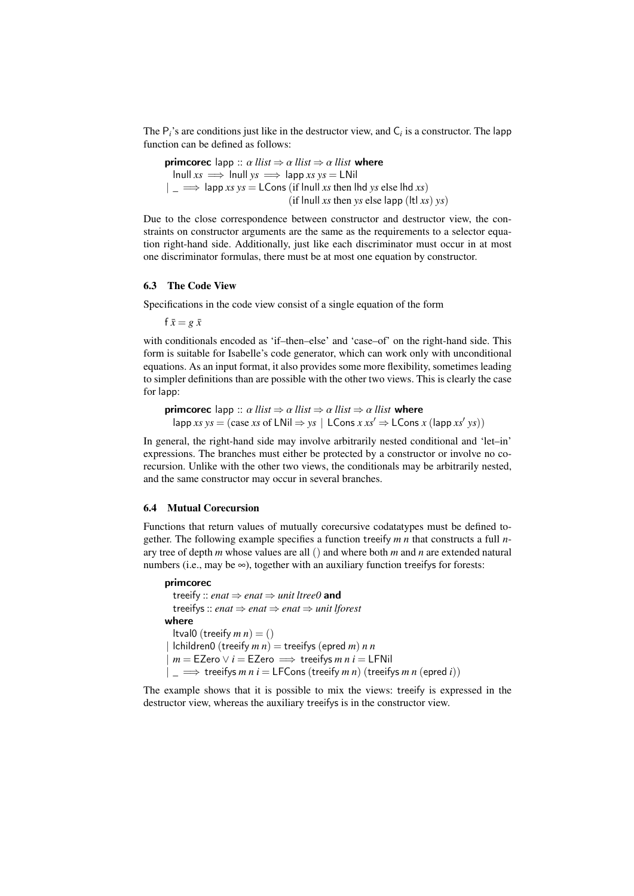The P*i*'s are conditions just like in the destructor view, and C*<sup>i</sup>* is a constructor. The lapp function can be defined as follows:

**primcorec** lapp ::  $\alpha$  *llist*  $\Rightarrow \alpha$  *llist* where  $lnull xs \implies Inull ys \implies lapp xs ys = LMil$  $|\Rightarrow$  lapp *xs*  $ys =$  LCons (if lnull *xs* then lhd *ys* else lhd *xs*) (if lnull *xs* then *ys* else lapp (ltl *xs*)  $y$ s)

Due to the close correspondence between constructor and destructor view, the constraints on constructor arguments are the same as the requirements to a selector equation right-hand side. Additionally, just like each discriminator must occur in at most one discriminator formulas, there must be at most one equation by constructor.

#### 6.3 The Code View

Specifications in the code view consist of a single equation of the form

 $f \bar{x} = e \bar{x}$ 

with conditionals encoded as 'if-then-else' and 'case-of' on the right-hand side. This form is suitable for Isabelle's code generator, which can work only with unconditional equations. As an input format, it also provides some more flexibility, sometimes leading to simpler definitions than are possible with the other two views. This is clearly the case for lapp:

**primcorec** lapp ::  $\alpha$  *llist*  $\Rightarrow \alpha$  *llist*  $\Rightarrow \alpha$  *llist* where  $\text{lapp } xs \text{ } ys = (\text{case } xs \text{ } of \text{ } LNil \Rightarrow ys \text{ } | \text{ } LCons \text{ } x \text{ } xs' \Rightarrow LCons \text{ } x \text{ } (\text{lapp } xs' \text{ } ys))$ 

In general, the right-hand side may involve arbitrarily nested conditional and 'let–in' expressions. The branches must either be protected by a constructor or involve no corecursion. Unlike with the other two views, the conditionals may be arbitrarily nested, and the same constructor may occur in several branches.

## 6.4 Mutual Corecursion

Functions that return values of mutually corecursive codatatypes must be defined together. The following example specifies a function treeify *m n* that constructs a full *n*ary tree of depth *m* whose values are all () and where both *m* and *n* are extended natural numbers (i.e., may be  $\infty$ ), together with an auxiliary function treeifys for forests:

```
primcorec
```
treeify :: *enat* ⇒ *enat* ⇒ *unit ltree0* and treeifys :: *enat* ⇒ *enat* ⇒ *enat* ⇒ *unit lforest* where ltval0 (treeify  $m n$ ) = ()  $|$ children0 (treeify  $m n$ ) = treeifys (epred  $m$ )  $n n$  $m =$  EZero  $\vee i =$  EZero  $\implies$  treeifys *m n i* = LFNil  $|\Rightarrow$  treeifys *m n i* = LFCons (treeify *m n*) (treeifys *m n* (epred *i*))

The example shows that it is possible to mix the views: treeify is expressed in the destructor view, whereas the auxiliary treeifys is in the constructor view.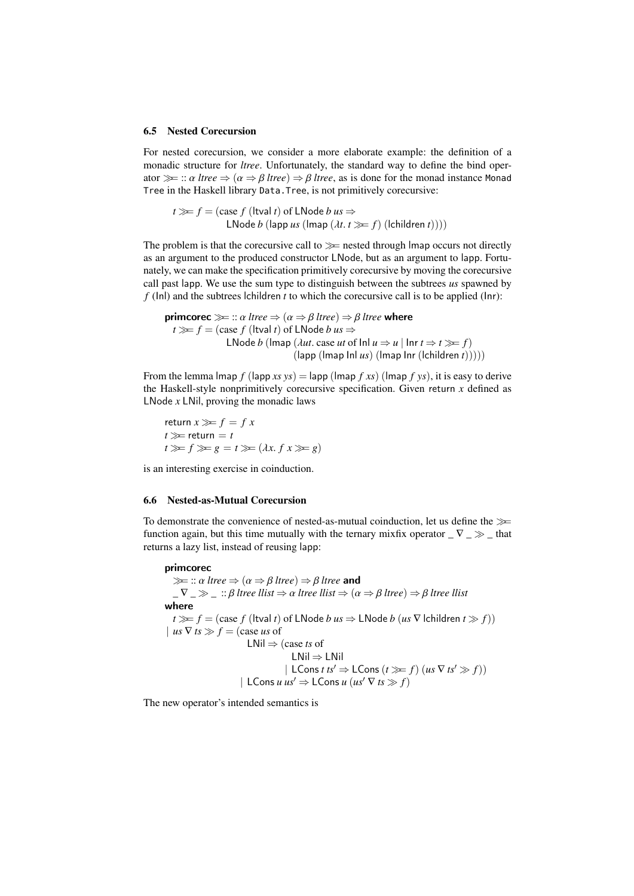#### <span id="page-12-0"></span>6.5 Nested Corecursion

For nested corecursion, we consider a more elaborate example: the definition of a monadic structure for *ltree*. Unfortunately, the standard way to define the bind operator  $\gg$  ::  $\alpha$  *ltree*  $\Rightarrow$   $(\alpha \Rightarrow \beta$  *ltree*)  $\Rightarrow \beta$  *ltree*, as is done for the monad instance Monad Tree in the Haskell library Data.Tree, is not primitively corecursive:

 $t \gg f = (case \, f \, (Itval \, t) \, of \, LNode \, b \, us \Rightarrow$ LNode *b* (lapp *us* (lmap  $(\lambda t. t \gg f)$  (lchildren *t*))))

The problem is that the corecursive call to  $\gg$  nested through lmap occurs not directly as an argument to the produced constructor LNode, but as an argument to lapp. Fortunately, we can make the specification primitively corecursive by moving the corecursive call past lapp. We use the sum type to distinguish between the subtrees *us* spawned by *f* (Inl) and the subtrees lchildren *t* to which the corecursive call is to be applied (Inr):

**primcorec** 
$$
\gg
$$
 ::  $\alpha$  *tree*  $\Rightarrow$  ( $\alpha \Rightarrow \beta$  *tree*)  $\Rightarrow \beta$  *tree* **where**  
 $t \gg f = (\text{case } f (\text{ltval } t) \text{ of LNode } b us \Rightarrow$   
LNode *b* (Imap (*Aut.* case *ut* of  $\text{Inl } u \Rightarrow u | \text{Inr } t \Rightarrow t \gg f)$   
 $(\text{lapp} (\text{Imap } \text{Inl } us) (\text{Imap } \text{Inr } (\text{children } t))))$ 

From the lemma lmap  $f$  (lapp *xs*  $ys$ ) = lapp (lmap  $f$  *xs*) (lmap  $f$  *ys*), it is easy to derive the Haskell-style nonprimitively corecursive specification. Given return *x* defined as LNode *x* LNil, proving the monadic laws

return  $x \gg f = fx$  $t \gggt$  return = *t*  $t \gg f \gg g = t \gg (\lambda x. f x \gg g)$ 

is an interesting exercise in coinduction.

#### 6.6 Nested-as-Mutual Corecursion

To demonstrate the convenience of nested-as-mutual coinduction, let us define the  $\gg$ function again, but this time mutually with the ternary mixfix operator  $\sqrt{}$   $\sqrt{}$   $\rightarrow$   $\sqrt{}$  that returns a lazy list, instead of reusing lapp:

# primcorec

 $\ggg$  ::  $\alpha$  *ltree*  $\Rightarrow$   $(\alpha \Rightarrow \beta$  *ltree*)  $\Rightarrow \beta$  *ltree* and  $\Box \nabla \Box \gg \Box$  ::  $\beta$  *ltree llist*  $\Rightarrow \alpha$  *ltree llist*  $\Rightarrow (\alpha \Rightarrow \beta$  *ltree*)  $\Rightarrow \beta$  *ltree llist* where *t*  $\geq$  *f* = (case *f* (ltval *t*) of LNode *b us*  $\Rightarrow$  LNode *b* (*us* ∇ lchildren *t*  $\gg$  *f*)) | *us*  $\nabla$  *ts*  $\gg$   $f$  = (case *us* of LNil ⇒ (case *ts* of LNil ⇒ LNil  $|\text{LCons } t \text{ } t s' \Rightarrow \text{LCons } (t \gg f)(\text{ } u s \nabla \text{ } t s' \gg f))|$ | LCons *u*  $us' \Rightarrow$  LCons *u* ( $us' \nabla ts \gg f$ )

The new operator's intended semantics is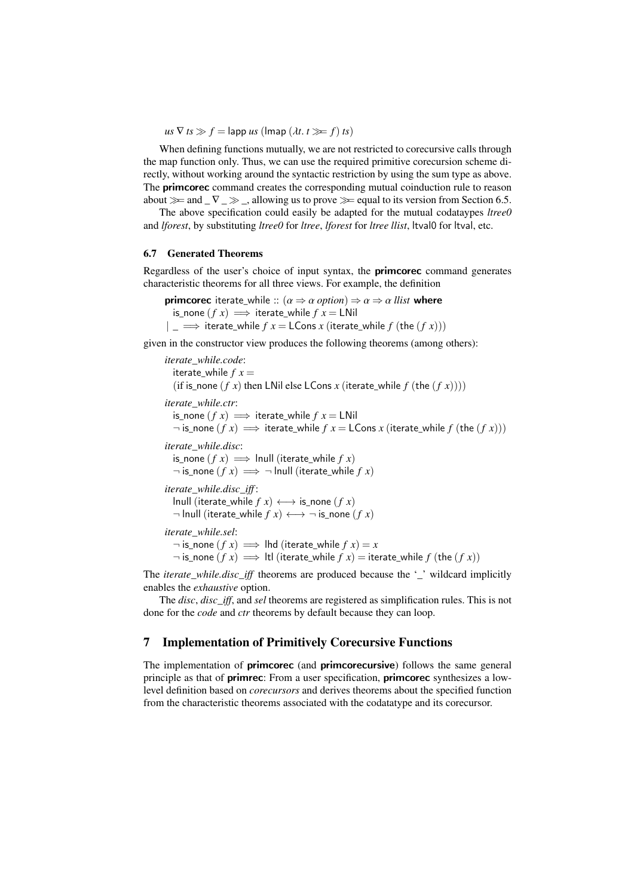$us \nabla ts \gg f =$ lapp  $us$  (lmap  $(\lambda t. t \gg f)$  *ts*)

When defining functions mutually, we are not restricted to corecursive calls through the map function only. Thus, we can use the required primitive corecursion scheme directly, without working around the syntactic restriction by using the sum type as above. The **primcorec** command creates the corresponding mutual coinduction rule to reason about  $\gg$  and  $\nabla \gg$ , allowing us to prove  $\gg$  equal to its version from Section [6.5.](#page-12-0)

The above specification could easily be adapted for the mutual codataypes *ltree0* and *lforest*, by substituting *ltree0* for *ltree*, *lforest* for *ltree llist*, ltval0 for ltval, etc.

## 6.7 Generated Theorems

Regardless of the user's choice of input syntax, the primcorec command generates characteristic theorems for all three views. For example, the definition

**primcorec** iterate\_while ::  $(\alpha \Rightarrow \alpha \text{ option}) \Rightarrow \alpha \Rightarrow \alpha \text{ } llist$  where is none  $(f x) \implies$  iterate while  $f x = L$ Nil  $| \underline{\hspace{1cm}} \implies$  iterate\_while  $f x =$  LCons  $x$  (iterate\_while  $f$  (the  $(f x))$ )

given in the constructor view produces the following theorems (among others):

*iterate\_while.code*: iterate while  $f x =$ (if is none (*f x*) then LNil else LCons *x* (iterate while *f* (the  $(f x)$ ))) *iterate\_while.ctr*: is none  $(f x) \implies$  iterate while  $f x = L$ Nil  $\neg$  is\_none (*f x*)  $\implies$  iterate\_while *f x* = LCons *x* (iterate\_while *f* (the (*f x*))) *iterate\_while.disc*: is\_none  $(f x) \implies$  lnull (iterate\_while  $f x$ )  $\neg$  is\_none  $(f x) \implies \neg$  lnull (iterate\_while  $f x$ ) *iterate\_while.disc\_iff* : lnull (iterate\_while  $f(x)$  ←→ is\_none  $(f(x))$  $\neg$  lnull (iterate\_while  $f(x) \leftrightarrow \neg$  is\_none  $(f(x))$ *iterate\_while.sel*:  $\neg$  is\_none (*f x*)  $\implies$  lhd (iterate\_while *f x*) = *x*  $\neg$  is\_none  $(f x) \implies$  ltl (iterate\_while  $f(x) =$  iterate\_while  $f(\text{the } (f x))$ 

The *iterate\_while.disc\_iff* theorems are produced because the '\_' wildcard implicitly enables the *exhaustive* option.

The *disc*, *disc\_iff*, and *sel* theorems are registered as simplification rules. This is not done for the *code* and *ctr* theorems by default because they can loop.

# <span id="page-13-0"></span>7 Implementation of Primitively Corecursive Functions

The implementation of **primcorec** (and **primcorecursive**) follows the same general principle as that of primrec: From a user specification, primcorec synthesizes a lowlevel definition based on *corecursors* and derives theorems about the specified function from the characteristic theorems associated with the codatatype and its corecursor.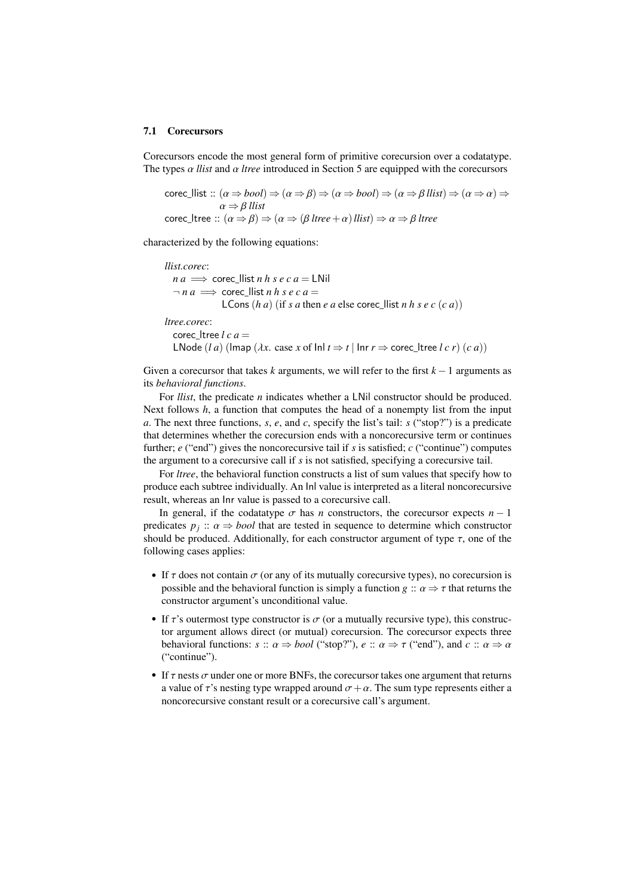#### 7.1 Corecursors

Corecursors encode the most general form of primitive corecursion over a codatatype. The types  $\alpha$  *llist* and  $\alpha$  *ltree* introduced in Section [5](#page-8-0) are equipped with the corecursors

$$
\begin{aligned}\n\text{corec\_llist} :: (\alpha \Rightarrow bool) &\Rightarrow (\alpha \Rightarrow \beta) \Rightarrow (\alpha \Rightarrow bool) \Rightarrow (\alpha \Rightarrow \beta \text{ llist}) \Rightarrow (\alpha \Rightarrow \alpha) \Rightarrow \\
\alpha &\Rightarrow \beta \text{ llist} \\
\text{corec\_tree} :: (\alpha \Rightarrow \beta) &\Rightarrow (\alpha \Rightarrow (\beta \text{ ltree} + \alpha) \text{ llist}) \Rightarrow \alpha \Rightarrow \beta \text{ ltree}\n\end{aligned}
$$

characterized by the following equations:

*llist.corec*:  $n a \implies$  corec llist *n h s e c a* = LNil  $\neg n a \implies$  corec llist *n h s e c a* = LCons  $(h \, a)$  (if *s a* then *e a* else corec\_llist *n*  $h \, s \, e \, c \, (c \, a)$ ) *ltree.corec*: corec\_ltree  $l c a =$ LNode (*l a*) (lmap ( $\lambda x$ . case *x* of lnl  $t \Rightarrow t$  | Inr  $r \Rightarrow$  corec\_ltree *l c r*) (*c a*))

Given a corecursor that takes *k* arguments, we will refer to the first *k* −1 arguments as its *behavioral functions*.

For *llist*, the predicate *n* indicates whether a LNil constructor should be produced. Next follows *h*, a function that computes the head of a nonempty list from the input *a*. The next three functions, *s*, *e*, and *c*, specify the list's tail: *s* ("stop?") is a predicate that determines whether the corecursion ends with a noncorecursive term or continues further; *e* ("end") gives the noncorecursive tail if *s* is satisfied; *c* ("continue") computes the argument to a corecursive call if *s* is not satisfied, specifying a corecursive tail.

For *ltree*, the behavioral function constructs a list of sum values that specify how to produce each subtree individually. An Inl value is interpreted as a literal noncorecursive result, whereas an Inr value is passed to a corecursive call.

In general, if the codatatype  $\sigma$  has *n* constructors, the corecursor expects  $n - 1$ predicates  $p_j$ :  $\alpha \Rightarrow \text{bool}$  that are tested in sequence to determine which constructor<br>should be produced. Additionally, for each constructor argument of type  $\tau$  one of the should be produced. Additionally, for each constructor argument of type  $\tau$ , one of the following cases applies:

- If  $\tau$  does not contain  $\sigma$  (or any of its mutually corecursive types), no corecursion is possible and the behavioral function is simply a function *g*  $\therefore$   $\alpha \Rightarrow \tau$  that returns the constructor argument's unconditional value.
- If  $\tau$ 's outermost type constructor is  $\sigma$  (or a mutually recursive type), this constructor argument allows direct (or mutual) corecursion. The corecursor expects three behavioral functions:  $s :: \alpha \Rightarrow bool$  ("stop?"),  $e :: \alpha \Rightarrow \tau$  ("end"), and  $c :: \alpha \Rightarrow \alpha$ ("continue").
- If  $\tau$  nests  $\sigma$  under one or more BNFs, the corecursor takes one argument that returns a value of  $\tau$ 's nesting type wrapped around  $\sigma + \alpha$ . The sum type represents either a noncorecursive constant result or a corecursive call's argument.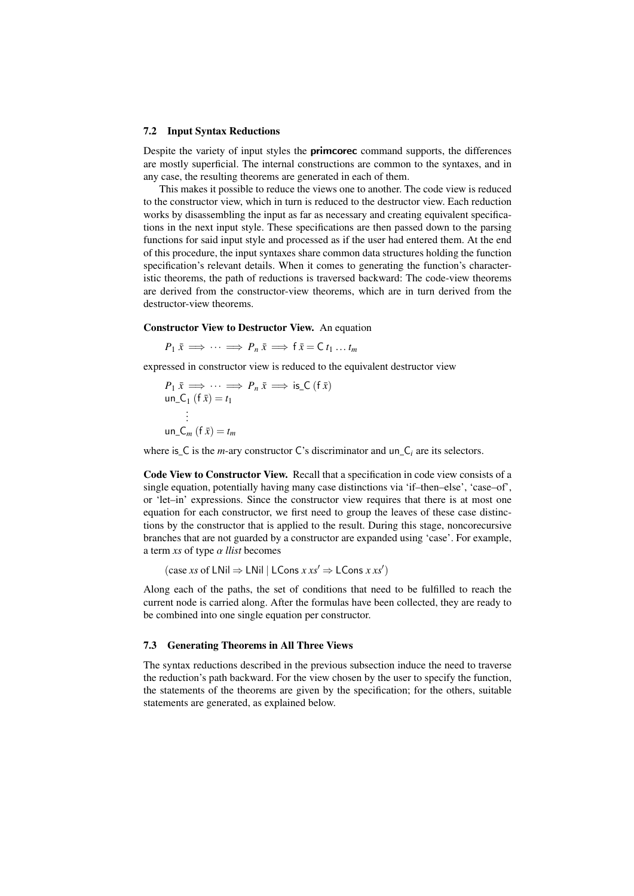#### 7.2 Input Syntax Reductions

Despite the variety of input styles the primcorec command supports, the differences are mostly superficial. The internal constructions are common to the syntaxes, and in any case, the resulting theorems are generated in each of them.

This makes it possible to reduce the views one to another. The code view is reduced to the constructor view, which in turn is reduced to the destructor view. Each reduction works by disassembling the input as far as necessary and creating equivalent specifications in the next input style. These specifications are then passed down to the parsing functions for said input style and processed as if the user had entered them. At the end of this procedure, the input syntaxes share common data structures holding the function specification's relevant details. When it comes to generating the function's characteristic theorems, the path of reductions is traversed backward: The code-view theorems are derived from the constructor-view theorems, which are in turn derived from the destructor-view theorems.

#### <span id="page-15-0"></span>Constructor View to Destructor View. An equation

$$
P_1 \bar{x} \implies \cdots \implies P_n \bar{x} \implies f \bar{x} = C t_1 \ldots t_m
$$

expressed in constructor view is reduced to the equivalent destructor view

$$
P_1 \bar{x} \implies \cdots \implies P_n \bar{x} \implies \text{is\_C (f } \bar{x})
$$
  
un\\_C<sub>1</sub> (f  $\bar{x}$ ) = t<sub>1</sub>  
:  
un\\_C<sub>m</sub> (f  $\bar{x}$ ) = t<sub>m</sub>

where is  $\subset$  is the *m*-ary constructor  $\subset$ 's discriminator and un $\subset$ <sub>i</sub> are its selectors.

<span id="page-15-1"></span>Code View to Constructor View. Recall that a specification in code view consists of a single equation, potentially having many case distinctions via 'if–then–else', 'case–of', or 'let–in' expressions. Since the constructor view requires that there is at most one equation for each constructor, we first need to group the leaves of these case distinctions by the constructor that is applied to the result. During this stage, noncorecursive branches that are not guarded by a constructor are expanded using 'case'. For example, a term *xs* of type α *llist* becomes

 $(\text{case } xs \text{ of LNil} \Rightarrow \text{LNil} | \text{LCons } x \text{ } xs' \Rightarrow \text{LCons } x \text{ } xs')$ 

Along each of the paths, the set of conditions that need to be fulfilled to reach the current node is carried along. After the formulas have been collected, they are ready to be combined into one single equation per constructor.

# 7.3 Generating Theorems in All Three Views

The syntax reductions described in the previous subsection induce the need to traverse the reduction's path backward. For the view chosen by the user to specify the function, the statements of the theorems are given by the specification; for the others, suitable statements are generated, as explained below.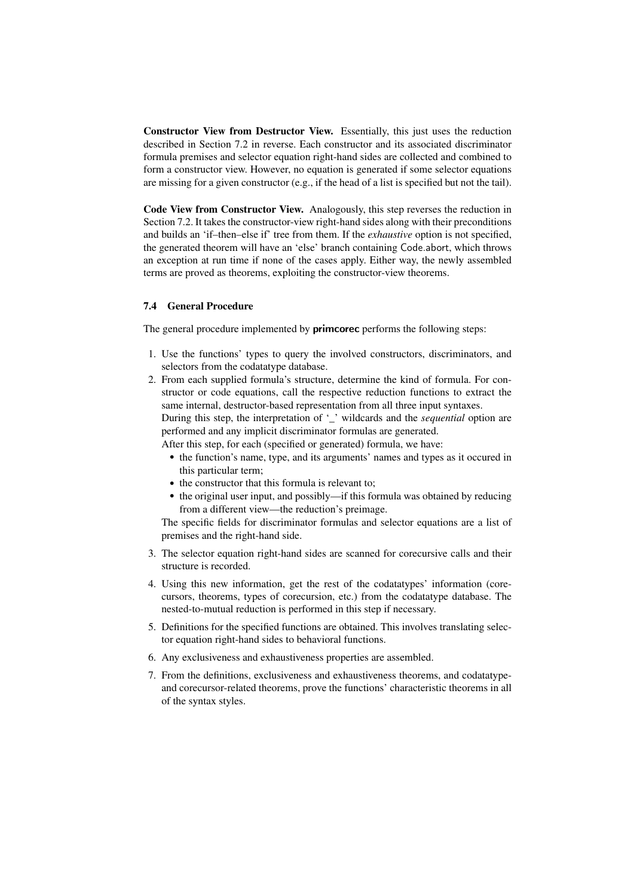Constructor View from Destructor View. Essentially, this just uses the reduction described in Section [7.2](#page-15-0) in reverse. Each constructor and its associated discriminator formula premises and selector equation right-hand sides are collected and combined to form a constructor view. However, no equation is generated if some selector equations are missing for a given constructor (e.g., if the head of a list is specified but not the tail).

Code View from Constructor View. Analogously, this step reverses the reduction in Section [7.2.](#page-15-1) It takes the constructor-view right-hand sides along with their preconditions and builds an 'if–then–else if' tree from them. If the *exhaustive* option is not specified, the generated theorem will have an 'else' branch containing Code.abort, which throws an exception at run time if none of the cases apply. Either way, the newly assembled terms are proved as theorems, exploiting the constructor-view theorems.

## 7.4 General Procedure

The general procedure implemented by **primcorec** performs the following steps:

- 1. Use the functions' types to query the involved constructors, discriminators, and selectors from the codatatype database.
- 2. From each supplied formula's structure, determine the kind of formula. For constructor or code equations, call the respective reduction functions to extract the same internal, destructor-based representation from all three input syntaxes. During this step, the interpretation of '\_' wildcards and the *sequential* option are performed and any implicit discriminator formulas are generated.

After this step, for each (specified or generated) formula, we have:

- the function's name, type, and its arguments' names and types as it occured in this particular term;
- the constructor that this formula is relevant to;
- the original user input, and possibly—if this formula was obtained by reducing from a different view—the reduction's preimage.

The specific fields for discriminator formulas and selector equations are a list of premises and the right-hand side.

- 3. The selector equation right-hand sides are scanned for corecursive calls and their structure is recorded.
- 4. Using this new information, get the rest of the codatatypes' information (corecursors, theorems, types of corecursion, etc.) from the codatatype database. The nested-to-mutual reduction is performed in this step if necessary.
- 5. Definitions for the specified functions are obtained. This involves translating selector equation right-hand sides to behavioral functions.
- 6. Any exclusiveness and exhaustiveness properties are assembled.
- 7. From the definitions, exclusiveness and exhaustiveness theorems, and codatatypeand corecursor-related theorems, prove the functions' characteristic theorems in all of the syntax styles.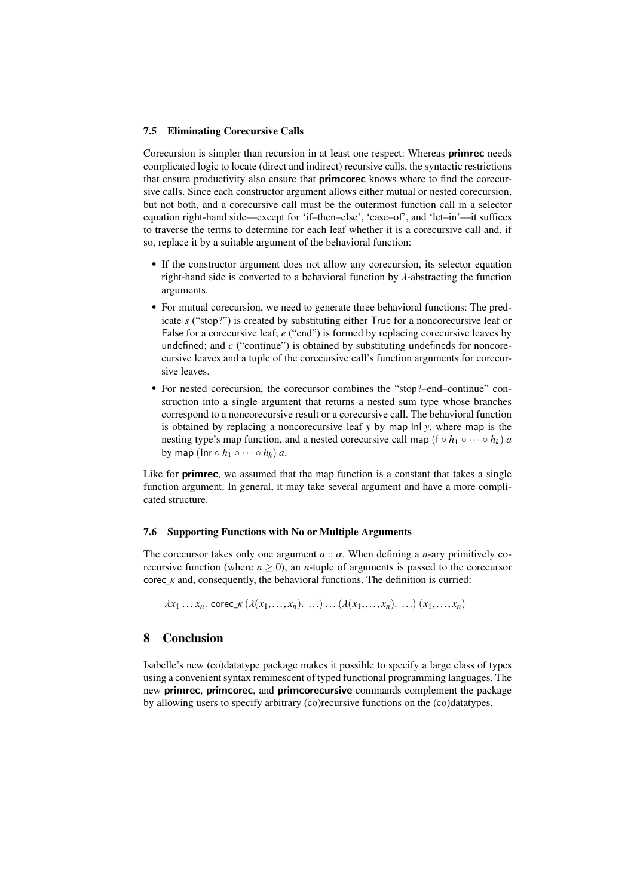## 7.5 Eliminating Corecursive Calls

Corecursion is simpler than recursion in at least one respect: Whereas primrec needs complicated logic to locate (direct and indirect) recursive calls, the syntactic restrictions that ensure productivity also ensure that **primcorec** knows where to find the corecursive calls. Since each constructor argument allows either mutual or nested corecursion, but not both, and a corecursive call must be the outermost function call in a selector equation right-hand side—except for 'if–then–else', 'case–of', and 'let–in'—it suffices to traverse the terms to determine for each leaf whether it is a corecursive call and, if so, replace it by a suitable argument of the behavioral function:

- If the constructor argument does not allow any corecursion, its selector equation right-hand side is converted to a behavioral function by  $\lambda$ -abstracting the function arguments.
- For mutual corecursion, we need to generate three behavioral functions: The predicate *s* ("stop?") is created by substituting either True for a noncorecursive leaf or False for a corecursive leaf; *e* ("end") is formed by replacing corecursive leaves by undefined; and *c* ("continue") is obtained by substituting undefineds for noncorecursive leaves and a tuple of the corecursive call's function arguments for corecursive leaves.
- For nested corecursion, the corecursor combines the "stop?–end–continue" construction into a single argument that returns a nested sum type whose branches correspond to a noncorecursive result or a corecursive call. The behavioral function is obtained by replacing a noncorecursive leaf *y* by map Inl *y*, where map is the nesting type's map function, and a nested corecursive call map ( $f \circ h_1 \circ \cdots \circ h_k$ ) *a* by map ( $\text{Inr} \circ h_1 \circ \cdots \circ h_k$ ) *a*.

Like for **primrec**, we assumed that the map function is a constant that takes a single function argument. In general, it may take several argument and have a more complicated structure.

# 7.6 Supporting Functions with No or Multiple Arguments

The corecursor takes only one argument *<sup>a</sup>* :: α. When defining a *<sup>n</sup>*-ary primitively corecursive function (where  $n \geq 0$ ), an *n*-tuple of arguments is passed to the corecursor corec  $κ$  and, consequently, the behavioral functions. The definition is curried:

 $\lambda x_1 ... x_n$ . corec\_ $\kappa (\lambda(x_1,...,x_n)...)(\lambda(x_1,...,x_n)...)(x_1,...,x_n)$ 

# 8 Conclusion

Isabelle's new (co)datatype package makes it possible to specify a large class of types using a convenient syntax reminescent of typed functional programming languages. The new primrec, primcorec, and primcorecursive commands complement the package by allowing users to specify arbitrary (co)recursive functions on the (co)datatypes.